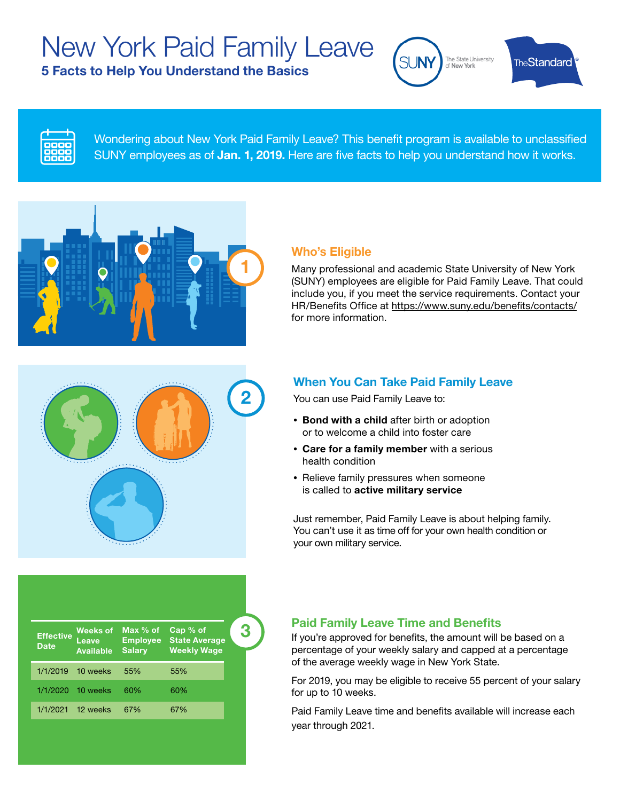# New York Paid Family Leave

5 Facts to Help You Understand the Basics



**TheStandard** 



Wondering about New York Paid Family Leave? This benefit program is available to unclassified SUNY employees as of **Jan. 1, 2019.** Here are five facts to help you understand how it works.



#### Who's Eligible

Many professional and academic State University of New York (SUNY) employees are eligible for Paid Family Leave. That could include you, if you meet the service requirements. Contact your HR/Benefits Office at https://www.suny.edu/benefits/contacts/ for more information.



### When You Can Take Paid Family Leave

You can use Paid Family Leave to:

- Bond with a child after birth or adoption or to welcome a child into foster care
- Care for a family member with a serious health condition
- Relieve family pressures when someone is called to active military service

Just remember, Paid Family Leave is about helping family. You can't use it as time off for your own health condition or your own military service.

| <b>Effective</b><br><b>Date</b> | <b>Weeks of</b><br>Leave<br><b>Available</b> | Max % of<br><b>Employee</b><br><b>Salary</b> | Cap % of<br><b>State Average</b><br><b>Weekly Wage</b> |  |
|---------------------------------|----------------------------------------------|----------------------------------------------|--------------------------------------------------------|--|
| 1/1/2019                        | 10 weeks                                     | 55%                                          | 55%                                                    |  |
| 1/1/2020                        | 10 weeks                                     | 60%                                          | 60%                                                    |  |
| 1/1/2021                        | 12 weeks                                     | 67%                                          | 67%                                                    |  |

#### Paid Family Leave Time and Benefits

If you're approved for benefits, the amount will be based on a percentage of your weekly salary and capped at a percentage of the average weekly wage in New York State.

For 2019, you may be eligible to receive 55 percent of your salary for up to 10 weeks.

Paid Family Leave time and benefits available will increase each year through 2021.